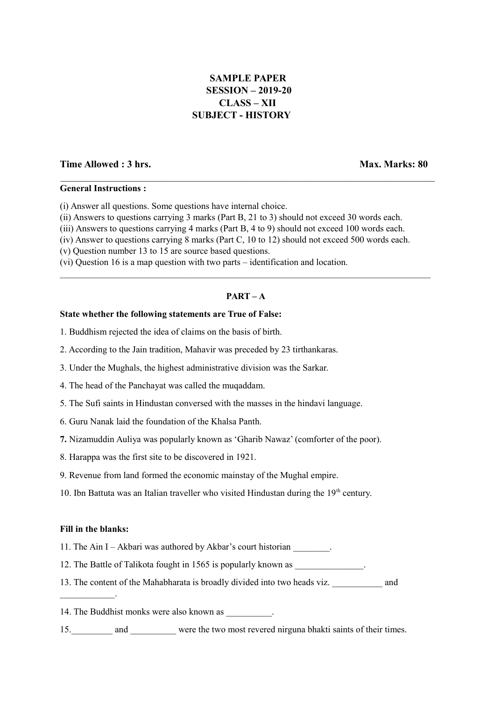# **SAMPLE PAPER SESSION – 2019-20 CLASS – XII SUBJECT - HISTORY**

 $\mathcal{L}_\mathcal{L} = \{ \mathcal{L}_\mathcal{L} = \{ \mathcal{L}_\mathcal{L} = \{ \mathcal{L}_\mathcal{L} = \{ \mathcal{L}_\mathcal{L} = \{ \mathcal{L}_\mathcal{L} = \{ \mathcal{L}_\mathcal{L} = \{ \mathcal{L}_\mathcal{L} = \{ \mathcal{L}_\mathcal{L} = \{ \mathcal{L}_\mathcal{L} = \{ \mathcal{L}_\mathcal{L} = \{ \mathcal{L}_\mathcal{L} = \{ \mathcal{L}_\mathcal{L} = \{ \mathcal{L}_\mathcal{L} = \{ \mathcal{L}_\mathcal{$ 

# **Time Allowed : 3 hrs. Max. Marks: 80**

# **General Instructions :**

(i) Answer all questions. Some questions have internal choice.

- (ii) Answers to questions carrying 3 marks (Part B, 21 to 3) should not exceed 30 words each.
- (iii) Answers to questions carrying 4 marks (Part B, 4 to 9) should not exceed 100 words each.
- (iv) Answer to questions carrying 8 marks (Part C, 10 to 12) should not exceed 500 words each.
- (v) Question number 13 to 15 are source based questions.
- (vi) Question 16 is a map question with two parts identification and location.

# **PART – A**

 $\mathcal{L}_\mathcal{L} = \mathcal{L}_\mathcal{L} = \mathcal{L}_\mathcal{L} = \mathcal{L}_\mathcal{L} = \mathcal{L}_\mathcal{L} = \mathcal{L}_\mathcal{L} = \mathcal{L}_\mathcal{L} = \mathcal{L}_\mathcal{L} = \mathcal{L}_\mathcal{L} = \mathcal{L}_\mathcal{L} = \mathcal{L}_\mathcal{L} = \mathcal{L}_\mathcal{L} = \mathcal{L}_\mathcal{L} = \mathcal{L}_\mathcal{L} = \mathcal{L}_\mathcal{L} = \mathcal{L}_\mathcal{L} = \mathcal{L}_\mathcal{L}$ 

### **State whether the following statements are True of False:**

- 1. Buddhism rejected the idea of claims on the basis of birth.
- 2. According to the Jain tradition, Mahavir was preceded by 23 tirthankaras.
- 3. Under the Mughals, the highest administrative division was the Sarkar.
- 4. The head of the Panchayat was called the muqaddam.
- 5. The Sufi saints in Hindustan conversed with the masses in the hindavi language.
- 6. Guru Nanak laid the foundation of the Khalsa Panth.
- **7.** Nizamuddin Auliya was popularly known as 'Gharib Nawaz' (comforter of the poor).
- 8. Harappa was the first site to be discovered in 1921.
- 9. Revenue from land formed the economic mainstay of the Mughal empire.
- 10. Ibn Battuta was an Italian traveller who visited Hindustan during the  $19<sup>th</sup>$  century.

#### **Fill in the blanks:**

 $\mathcal{L}_\text{max}$  and  $\mathcal{L}_\text{max}$ 

- 11. The Ain I Akbari was authored by Akbar's court historian \_\_\_\_\_\_\_\_.
- 12. The Battle of Talikota fought in 1565 is popularly known as
- 13. The content of the Mahabharata is broadly divided into two heads viz. and
- 14. The Buddhist monks were also known as  $\blacksquare$ .
- 15. and were the two most revered nirguna bhakti saints of their times.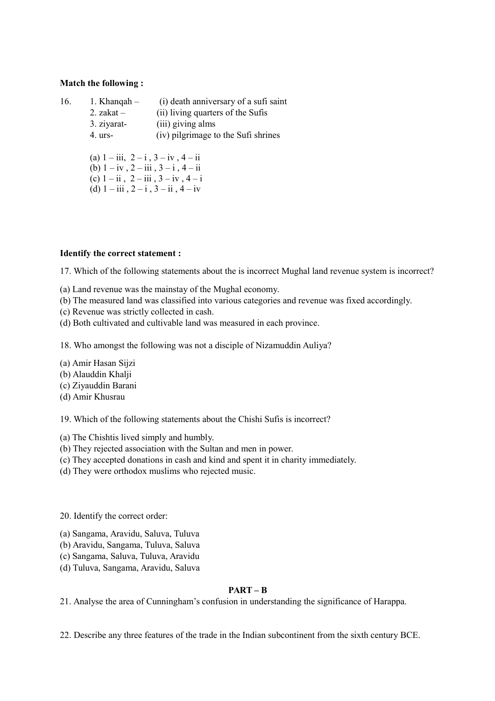# **Match the following :**

| 16. | 1. Khanqah $-$                                                                                                                                  | (i) death anniversary of a sufi saint |  |                                               |  |  |  |
|-----|-------------------------------------------------------------------------------------------------------------------------------------------------|---------------------------------------|--|-----------------------------------------------|--|--|--|
|     | 2. zakat $-$                                                                                                                                    | (ii) living quarters of the Sufis     |  |                                               |  |  |  |
|     | 3. ziyarat-                                                                                                                                     | (iii) giving alms                     |  |                                               |  |  |  |
|     | $4.$ urs-                                                                                                                                       | (iv) pilgrimage to the Sufi shrines   |  |                                               |  |  |  |
|     |                                                                                                                                                 |                                       |  |                                               |  |  |  |
|     | (a) $1 - iii$ , $2 - i$ , $3 - iv$ , $4 - ii$<br>(b) $1 - iy$ , $2 - iii$ , $3 - i$ , $4 - ii$<br>(c) $1 - ii$ , $2 - iii$ , $3 - iv$ , $4 - i$ |                                       |  |                                               |  |  |  |
|     |                                                                                                                                                 |                                       |  | (d) $1 - iii$ , $2 - i$ , $3 - ii$ , $4 - iv$ |  |  |  |
|     |                                                                                                                                                 |                                       |  |                                               |  |  |  |

# **Identify the correct statement :**

17. Which of the following statements about the is incorrect Mughal land revenue system is incorrect?

- (a) Land revenue was the mainstay of the Mughal economy.
- (b) The measured land was classified into various categories and revenue was fixed accordingly.
- (c) Revenue was strictly collected in cash.
- (d) Both cultivated and cultivable land was measured in each province.

18. Who amongst the following was not a disciple of Nizamuddin Auliya?

- (a) Amir Hasan Sijzi
- (b) Alauddin Khalji
- (c) Ziyauddin Barani
- (d) Amir Khusrau
- 19. Which of the following statements about the Chishi Sufis is incorrect?
- (a) The Chishtis lived simply and humbly.
- (b) They rejected association with the Sultan and men in power.
- (c) They accepted donations in cash and kind and spent it in charity immediately.
- (d) They were orthodox muslims who rejected music.

20. Identify the correct order:

- (a) Sangama, Aravidu, Saluva, Tuluva
- (b) Aravidu, Sangama, Tuluva, Saluva
- (c) Sangama, Saluva, Tuluva, Aravidu
- (d) Tuluva, Sangama, Aravidu, Saluva

# **PART – B**

21. Analyse the area of Cunningham's confusion in understanding the significance of Harappa.

22. Describe any three features of the trade in the Indian subcontinent from the sixth century BCE.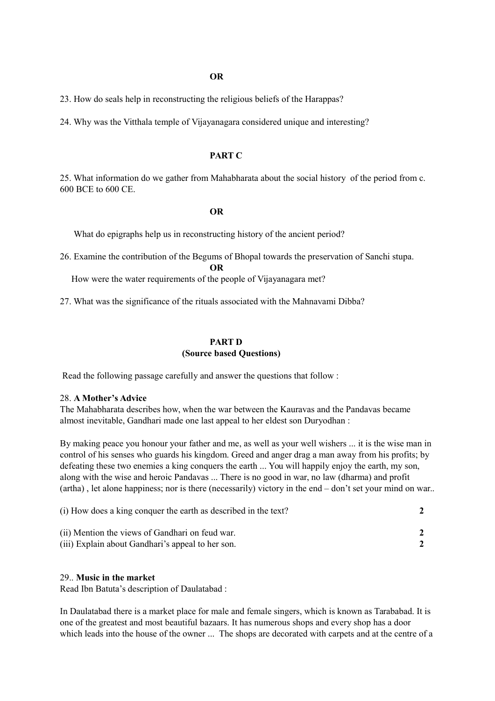23. How do seals help in reconstructing the religious beliefs of the Harappas?

24. Why was the Vitthala temple of Vijayanagara considered unique and interesting?

# **PART C**

25. What information do we gather from Mahabharata about the social history of the period from c. 600 BCE to 600 CE.

#### **OR**

What do epigraphs help us in reconstructing history of the ancient period?

26. Examine the contribution of the Begums of Bhopal towards the preservation of Sanchi stupa.

**OR**

How were the water requirements of the people of Vijayanagara met?

27. What was the significance of the rituals associated with the Mahnavami Dibba?

# **PART D**

# **(Source based Questions)**

Read the following passage carefully and answer the questions that follow :

### 28. **A Mother's Advice**

The Mahabharata describes how, when the war between the Kauravas and the Pandavas became almost inevitable, Gandhari made one last appeal to her eldest son Duryodhan :

By making peace you honour your father and me, as well as your well wishers ... it is the wise man in control of his senses who guards his kingdom. Greed and anger drag a man away from his profits; by defeating these two enemies a king conquers the earth ... You will happily enjoy the earth, my son, along with the wise and heroic Pandavas ... There is no good in war, no law (dharma) and profit (artha) , let alone happiness; nor is there (necessarily) victory in the end – don't set your mind on war..

| (i) How does a king conquer the earth as described in the text? |  |
|-----------------------------------------------------------------|--|
| (ii) Mention the views of Gandhari on feud war.                 |  |
| (iii) Explain about Gandhari's appeal to her son.               |  |

#### 29.. **Music in the market**

Read Ibn Batuta's description of Daulatabad :

In Daulatabad there is a market place for male and female singers, which is known as Tarababad. It is one of the greatest and most beautiful bazaars. It has numerous shops and every shop has a door which leads into the house of the owner ... The shops are decorated with carpets and at the centre of a